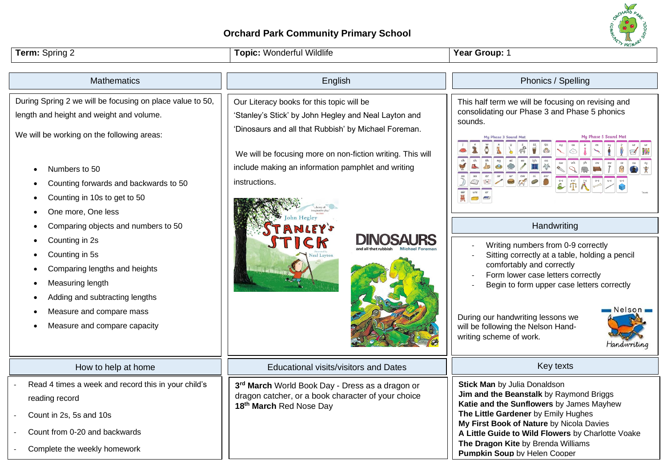## **Orchard Park Community Primary School**